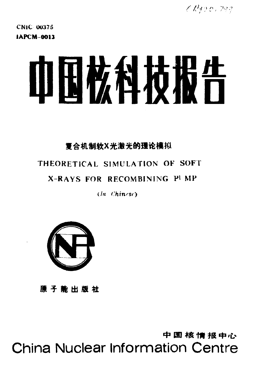CR330,799

**CNIC 00375 IAPCM-0013** 

# 血田枚科技发行

## 复合机制软X光激光的理论模拟

## THEORETICAL SIMULATION OF SOFT

## X-RAYS FOR RECOMBINING PUMP

 $(In$  Chinese)



原子能出版社

中国核情报中心 **China Nuclear Information Centre**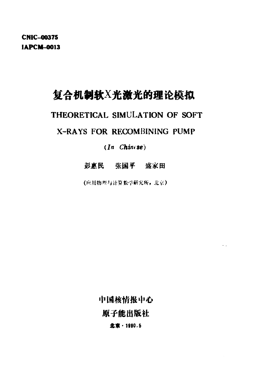**CNIC-00375 IAPCM-0013** 

## 复合机制软X光激光的理论模拟

## THEORETICAL SIMULATION OF SOFT

### X-RAYS FOR RECOMBINING PUMP

#### $(In$  Chinese)

#### 彭惠民 张国平 盛家田

(应用物理与计算数学研究所,北京)

中国核情报中心

 $\sim$   $\mu$ 

原子能出版社

北京·1990.5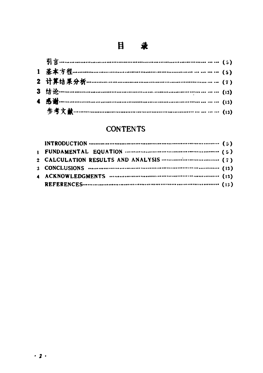## 目 录

## **CONTENTS**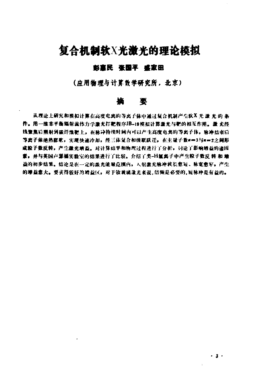## 复合机制软X光激光的理论模拟

#### 彭真民 张国平 盛家田

(应用物理与计算数学研究所,北京}

#### 摘要

从理论上研究和模拟计算在高度电离的等离子体中通过复合机制产生软件光 激光的 条 件。用一维非平衡辐射流作力学激光打靶程序JB-19 模拟计算激光与靶的相互作用。激 光经 线聚焦后熏射到碳纤维靶上,在脉冲梅续时间内可以产生高度电真的等离子体,脉冲结束后 等离子体绝热膨胀,实现快速冷却,经三体复合和级联跃迁,在主履子数n=3与n=2之间形 成粒子数反转,产生激光崩态。对计算结果和物理过程进行了分析,讨论了影响增益的诸因 董,并与英国卢瑟福实验室的结果进行了比较。介绍了类-H氟离子中产生粒子数反转 和 墙 益的初步结果。结论是在一定的案充能量范围内,人射激光脉冲波长愈迫、脉宽愈窄。产生 的增益愈大。要获得较好的增益区,对于钕玻璃流光来说,倍频是必要的,短脉冲是有益的。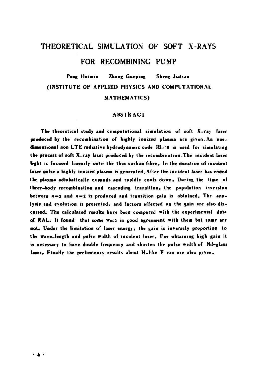## THEORETICAL SIMULATION OF SOFT X-RAYS FOR RECOMBINING PUMP

#### Peng Huimin Zhang Guoping Sheug Jialian (INSTITUTE OF APPLIED PHYSICS AND COMPUTATIONAL **MATHEMATICS)**

#### **ARSTRACT**

The theoretical study and computational simulation of soft X-ray laser produced by the recombination of highly ionized plasma are given. An onedimensional non LTE radiative hydrodynamic code JB-19 is used for simulating the process of soft X-ray laser produced by the recombination. The incident laser light is focused linearly onto the thin carbon fibre. In the duration of incident laser pulse a highly ionized plasma is generated. After the incident laser has ended the plasma adiabatically expands and rapidly cools down. During the time of three-body recombination and cascading transition, the population inversion between  $n = 3$  and  $n = 2$  is produced and transition gain is obtained. The analysis and evolution is presented, and factors effected on the gain are also discussed. The calculated results have been compared with the experimental data of RAL. It found that some were in good agreement with them but some are not. Under the limitation of laser energy, the gain is inversely proportion to the wave-length and pulse width of incident laser. For obtaining high gain it is necessary to have double frequency and shorten the pulse width of Nd-glass laser. Finally the preliminary results about H-like F ion are also given.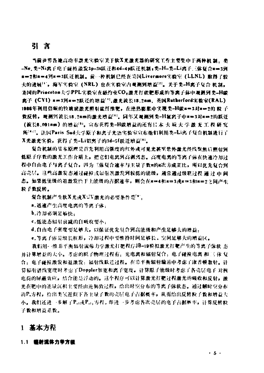#### 引言

当前世界各地高功率激光宗验室关于软X光激光器的研究工作主要集中于两种机 龋。参 -Ne、类=Ni离子电子碰撞激发3p-3s跃迁和4d-4p跃迁机制+类-H-类-Li离子三体复合#=3到 #=2和#=4到#=3跃迁机制。前…种机制已经在美国Livermore实验室 (LLNL) 取得了较 大的进展!",海军实验室(NRL)也在实验室内观测到增益!"。关于类-H离子复合机制。 美国的Princeton大学PPL实验室在融约束CO2激光打破靶形成的等离子体中观测到类=H碳 离子 (CVI) #=3到#=2跃迁的增益''',激光波长18.2nm,英国Rutherford实验室(RAL)。 1986年利用倍频的钦玻璃激光照射碳纤维靶,在绝热膨胀中实现类-H碳×=3对×=2的 粒子 数反转,规测到波长18.2nm的激光增益[1]。同年又观测到类-H氟离子中x=3对x=2的跃迁 (波长8.091nm) 的增益[3]。宣布获得类-H碳增益的还有日本 大 坂 大 学 激 光 工 程 研 究 所<sup>1472</sup>。法国Paris Sud大学原子和离子光语实验室宣布他们利用类-Li离子复合机制进行了 X光澈光实验,获得了类-Li铝离子的3d-5f跃迁增益!!!。

复合机制的某本原理是首先利用高强度的红外或可见光甚至禁外激光经线聚焦后哪好强 低原子序数的激光工作介质上。把它们电离到高剥离态。高度电离的等离子体在快速冷却过 程中自由电子与离子复合。因为三体复合速率与主量子数#的#次方成正比。所以优先复合制 高壳层。这些高激发态通过磋榨或辐射退激发到较低的能级,通常通过级联过程 通 辻 中 闻 态。如果低能级的退激发性于上能级的古据速率。则会在#=4和#=3或#=3和#=2シ丽产生 粒子数反转。

复合机制产生软X光或XUV激光的必要条件是[\*]。

a. 迅速产生高度电离的等离子体:

b. 冷却必须足够快:

c.低能态辐射衰减的自吸收要小:

d.自由电子密度要足够大,以保证优先复合到高能级和产生足够大的增益。

e, 等离子体是细长柱形, 冷却过程中要维持时间足够长, 空间足够大的增益区。

我们用一维非平衡辐射流体力学激光打塑程序JB-19模拟激光打靶产生的等离子体状 杰 并计算增益的大小。考虑的原子物理过程有,光电离和辐射复合;电子碰撞电离 和三 体 复 合。电子磷棕激发和退激发:辐射线跃迁过程。在非平衡辐射输运中考虑了康普顿散射。计 算辐射谱线宽度时考虑了Doppler加宽和离子宽度。计算原子能级时考虑了各壳层电子、对核 电荷的屏蔽效应。结合能是浮动的。这个程序可以计算激光打靶过程激光的吸收和反射。激 光在靶中的能量沉积主要经由逆韧致过程。给出时空分布的等离子体状态。通过解时空分布 的P.方程, 给出类氢近似下各主量子数的壳层电子占据概率, 从而给出反转粒子数和增益大 小。我们还进一步解了Pad或Pad方程。即进一步考虑各次壳层的电子占据概率。让算反转粒 子数和增益系数。

#### 1 基本方程

#### 1.1 植射流体力学方程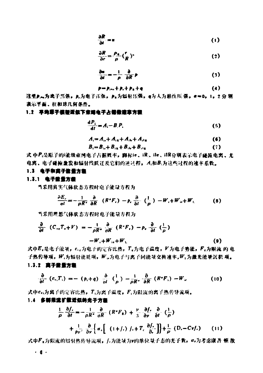$$
\frac{\partial R}{\partial x} = u \tag{1}
$$

$$
\frac{\partial R}{\partial r} = \frac{\rho_{\phi}}{\rho} \left( \frac{r}{R} \right)
$$
 (2)

$$
\frac{\partial u}{\partial t} = -\frac{1}{\rho} \frac{\partial}{\partial R} p \tag{3}
$$

$$
p=p_{i+1}+p_{i}+p_{k}+q
$$
 (4)

这里2...为离子压强。2.为电子压强。2..为辐射压强,q为人为枯性压 强。a=0。1。2 分 别 表示平面、柱和球几何条件。

#### 1.2 早均厚于模型近似下京傅电子占据教理享方程

$$
\frac{dP_i}{dt} = A_i - B_i P_i \tag{5}
$$

$$
A_i = A_{i\mathbf{r}} + A_{i\mathbf{r}} + A_{i\mathbf{k}} + A_{i\mathbf{k}} \tag{6}
$$

$$
B_i = B_{i} + B_{i} + B_{i} + B_{i} + B_{i}
$$
 (7)

式 中P:是原子的i能级束缚电子占据概率,脚标ie、iR、ile、ilR分别表示电子碰紧电离、光 电离、电子碰撞激发和辐射线跃迁及它们的逆过程, A:和B:为这些过程的速率系数。

#### 1.3 电子和离子能量方程

#### 1.3.1 电子能量方量

当采用真实气体状态方程时电子能量方程为

$$
\frac{\partial E_{\ell}}{\partial t} = -\frac{1}{\rho R^2} \frac{\partial}{\partial R} \left( R^* F_{\ell} \right) - p_{\ell} \frac{\partial}{\partial t} \left( \frac{1}{\rho} \right) - W_{\ell} + W_{\mu} + W_{\mu}
$$
(8)

当采用理想气体状态方程时电子能量方程为

$$
\frac{\partial}{\partial t} (C_{1z}T_{z}+V) = -\frac{1}{\rho R^{2}} \frac{\partial}{\partial R} (R^{2}F_{z}) - p_{z} \frac{\partial}{\partial t} (\frac{1}{\rho})
$$
  

$$
-W_{z} + W_{1z} + W_{1z}
$$
 (9)

式中E,是电子能量, c,为电子的定容比热, T,为电子温度, V为电子势能, F,为限流 的电 子热传导项, W,为辐射能耗项, W.,为电子与离子间能量交换速率, W, 为激光能量沉积 项。

#### 1.3.2 离子能量方程

$$
\frac{\partial}{\partial t} (c_{ij} T_i) = - (p_i + q) \frac{\partial}{\partial t} \left( \frac{1}{\rho} \right) - \frac{1}{\rho R^*} \frac{\partial}{\partial R} (R^* F_i) - W_{ir}
$$
(10)

式中cv;为离子的定容比热,T;为离子温度,F;为限流的离子热传导流项。

#### 1.4 多群県流扩散近似的光子方程

$$
\frac{1}{\rho} \frac{\partial f_r}{\partial t} = -\frac{1}{\rho R^*} \frac{\partial}{\partial R^*} (R^* F_R) + \frac{\nu}{3} \frac{\partial f_r}{\partial \nu} \frac{\partial}{\partial t} (\frac{1}{\rho})
$$
  
+ 
$$
\frac{1}{\rho \nu'} \frac{\partial}{\partial \nu} \left\{ \alpha_v \left[ (1+f_r) f_r + T_r \frac{\partial f_r}{\partial r} \right] \right\} + \frac{1}{\rho} (D_r - Cyf_r) \qquad (11)
$$

式中Fx为限流的辐射热传导流项。f,为能量为v的单位量子态的光子数, a,为考虑康普 顿 散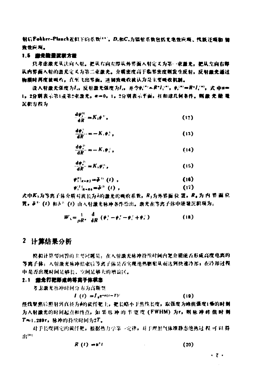射后Fokker-Planck近似下的系数\*\*\*\*, D.船C.为辐射系数包括光电效应项、线数汗项和 镭 致责应观。

#### 1.5 盖光能量流程方程

只考虑激光从法向入射。把从右向左即从外界面入射定义为第一束盖光。把从左向右即 从内界面入射的激光定义为第二束激光。介质密度高于临界密度则发生反射。反射激光通过 物质时再度被吸收。直至飞出界面。逆韧致吸收被认为是主要吸收机制。

设入射置光强度为1。反射激光强度为1。 #令#(\*\*=R\*1;\*\*, #;\*\*=R\*1;\*\*, 式 中#= 1。2分别表示第1或第2束激光, @=0, 1, 2分别表示半面, 柱和球几何条件。则最 光能 電 沉积方程为

$$
\frac{d\psi_1^{(1)}}{dR} = K_1 \psi^+, \tag{12}
$$

$$
\frac{d\phi_i^{\alpha}}{dR} = -K_i \phi_i^{\alpha}, \qquad (13)
$$

$$
\frac{d\psi_i^2}{dR} = -K_i \psi_i^2, \qquad (14)
$$

$$
\frac{d\phi_i^m}{dR} = K_x \psi_i^m, \qquad (15)
$$

$$
\psi_{1|z-z}^{(1)} = \bar{\phi}^{(1)}(t) , \qquad (16)
$$
  

$$
\psi_{1|z-z}^{(2)} = \bar{\phi}^{(2)}(t) , \qquad (17)
$$

式中区x为等离子体介质对波长为λ的避光的吸收系数。R-为外界面 位 置。R。为 内 界 画 位 置, F1 (4) 和声: (1) 由入射激光脉冲条件给出。激光在等离子体中能量沉积项为:

$$
W_{\mathbf{1}} = \frac{1}{\rho R^*} \cdot \frac{\mathrm{d}}{\mathrm{d}R} \left( \phi_{\mathbf{1}}^* - \phi_{\mathbf{1}}^* - \phi_{\mathbf{1}}^* + \phi_{\mathbf{1}}^* \right) \tag{18}
$$

#### 2 计算结果分析

模拟计算婴回答的主要问题是,在人射激光脉冲持续时间内靶介膜能否形成高度电离的 等离子体: 入射激光脉冲结束后等离子体是否实现绝热膨胀从而达到快速冷却; 在冷却过程 中是否出现时间是够长,空间是够大的增益区。

#### 2.1 查先打靶影应的等离子体状态

考虑激光脉冲时间分布为高斯型

 $I(t) = I_0 e^{-a(t-T)^2}$  $(19)$ 

经线聚焦后照射到直径为4的碳纤靶上。靶长略小于焦线长度。取强度为峰值强度1%的时刻 为入射激光的时间起点和终点,如果 队 冲 的 半 宽 度 (FWHM) 为r, 则 咏 冲 峰 值 时 刻 T≈1.289r, 脉冲的持续时间为2T。

对于长度固定的碳纤糖。根据热力学等一定他。对于理想气体准静态绝热过 程 可 以 得 **AUTO** 

$$
R(t) = s^n t \tag{20}
$$

 $\cdot$  7  $\cdot$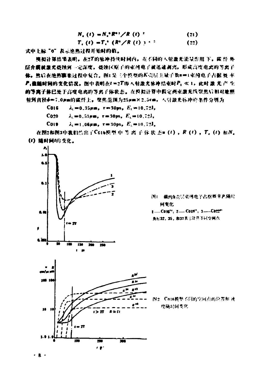$$
N_{c}(t) = N_{c} R^{c} R^{c}/R(t)^{2}
$$
 (21)  

$$
T_{c}(t) = T_{c} (R^{c}/R(t))^{c}
$$
 (22)

式中上标"0"表示追热过程开始时的值。

缠氨计算结果表明,在:XT的脉冲持续时间内,充不同的人射激光能量作用下,院纤 外 层介膜被激光绕蚀到一定深度,烧蚀区原子的束缚电子被迅速剥泻,形成高度电点的等离子。 体。然后在绝热事来过程中复合,图1是三个院型的AC完层主战子教画中(束缚电子占据 曼 率) 户:值醯时间的变化皆况。图中表明在1-2T即人射激光脉冲结束时户; 《 1. 此时 激 光 产 生 的等离子体已处于高度电离的等离子体状态。在模拟计算中假定两束激光线聚焦后根对地照 射到直径φ=7.0pm的硫纤上。骤焦范围为25pm×2.5cm,人射激光标冲的条件分别为.

C016  $\lambda_1 = 0.35 \mu m$ ,  $\tau = 30 \text{ps}$ ,  $E_1 = 10.72 \text{J}$ ,

C020  $\lambda = 0.53 \mu m$ ,  $\tau = 30 \mu s$ ,  $E_x = 10.72$ ,

COL9  $\lambda_i = 1.06 \mu \text{m}$ ,  $\tau = 30 \text{ps}$ ,  $E_i = 10.72$ ,

在图2和图3中我们信出了CGI6模型中等离子体状态m(t), R(t), T. (t) 和N. (I) 随时间'的变他.



霞的 在..唱:鸣咆了: l~~ e\*p,Fi高r: ·t **@专化** 

-COli" %-.COI~" :I一-c

先标32、35,和33 表示计算不同空间点。

图2 \ Cot6模型不同的空间点的位置和 速 度随时间变化.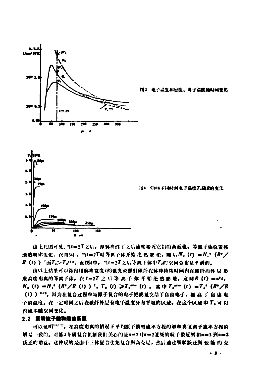

由上几图可见,当4=27之后,即脉冲终了之后速度横近它们的渐近催,等离子体位置按 渔热规律变化:在国3中,当1=27时等离子体开始 迤 热 霰 歌 、随 后 N。(1) = N。 (R\*/ R (1) ) '面T. >T.\*\*\*; 面图4中,当1=2T之后等离子体中T.的空间分布是平滑的。

由以上结果可以得出用脉冲宽度\*的置光束照射碳纤在脉冲持续时间内在碳纤的外 层 形 成高度电离的等离子体。在1=2T 之后 等 离子 体开 始 绝 热 膨 胀。这时R (1) =#'t。  $N_{c}(t) = N_{c}^{+}(R^{c}/R(t))$ <sup>2</sup>,  $T_{c}(t) > T_{c}^{+a}$  (t),  $\# T_{c}^{+a}$  (t)  $= T_{c}^{+}(R^{c}/R)$ (1)) \*/\*, 因为在复合过程中与原子复合的电子把能量交给了自由电子。瞿 高 了 自 由 电 子的温度。在一定时间之后在破纤外层有电子温度分布半坦的区域。在这个区域中了。可以 看成不随空间变化。

#### 2.2 反转放于整物增生系数

可以证明[11]。在高度电离的情况下平均原子模型速率方程的解和类氧素子速率方程的 解是一致的。对低4介质复合机制我们关心的是n=3对n=2派级的粒子数反转和n=3到n=2 联迁的增益,这种反转是由于三体复合优先复合到高壳层,然后通过纵联跃迁到 铍 觚 的 壳

. . .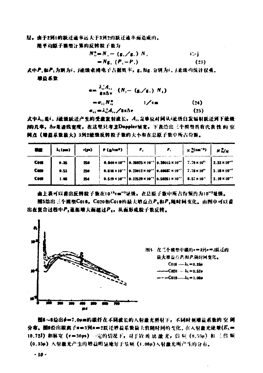屋。由于2到1的跃迁直率运大于3到2的跃迁速率面造成的。

用半均原子模型计算的反转粒子数为

$$
N_n^* = N_i - (\mathbf{g}, \angle \mathbf{g}_i) N_i
$$
  
=  $N_{\mathbf{g}_i} (P_i - P_i)$  (23)

式中严, 如严; 为别为i、j能缓束缚电子占据资率, g, 和g, 分别为i、j,重级的统计权重。 端益系数

$$
\mathbf{e} = \frac{\lambda_i / A_{ij}}{\mathbf{g} \times \Delta \mathbf{v}} \cdot (N_i - (\mathbf{g}_i / \mathbf{g}_i) N_i)
$$
  
\n
$$
= \sigma_{ij} N_{ij}^{\mathbf{e}} \qquad i / \mathbf{c} \mathbf{m} \qquad (24)
$$
  
\n
$$
\sigma_{ij} = \lambda_{ij}^2 A_{ij} / \mathbf{g} \times \Delta \mathbf{v} \qquad (25)
$$

式中人,是i、j能级跃迁产生的受激发射波长,才,是单位时间从i能级自发辐射跃迁到下能级 j的几率。 dv是游线宣度。 在这里只考虑Doppler展览,下表给出三个模型具有代表性 的 空 网查(增益系数量大)3到2能摄反转数子数的大小和在总原子数中所占份额。

| 美堂          | $\lambda_L$ (pm) | r(m) | P(y(x) | т. | г.                                                                                                                             | $N_{\rm H}^{\rm (cm^{-3})}$ | $N M_N$                |
|-------------|------------------|------|--------|----|--------------------------------------------------------------------------------------------------------------------------------|-----------------------------|------------------------|
| <b>Cois</b> | 9.35             | 250  |        |    | 0.840 x 10 <sup>-1</sup> 0.26025 x 10 <sup>-1</sup> 0.39015 x 10 <sup>-1</sup> 7.79 x 10 <sup>-1</sup>                         |                             | $1.33 \times 10^{-7}$  |
| Cam         | 0.53             | 250  |        |    | 0.616 x 10 <sup>-1</sup> $\left[0.23012 \times 10^{-1} \right]$ 0.40537 x 10 <sup>-1</sup> $\left[0.73 \times 10^{13} \right]$ |                             | $3.18 \times 10^{-3}$  |
| Com         | 1.96             | 254  |        |    | $0.519 \times 10^{-1}$ 0.32529 × 10 <sup>-1</sup> 0.5026   × 10 <sup>-1</sup> 6.57 × 10 <sup>-1</sup>                          |                             | $13.19 \times 10^{-7}$ |

曲上表可以看出反转粒子数在101kcm"读级,在总原子数中所占份额约为10"疑级。 图5给出三个模型C016, C020和C019的最大增益点P2和P1随时间变化。由图中可以看 出在复合过程中P3毫渐增大面超过P2,从面形成粒子数反转。



图6~8给出4-17、04m的碳纤在不同波长的人射流光照射下。不同时刻增益系数的 空 问 分布。图9给出碳离子#=3到#=2跃还增益系数最大值随时间的变化。在入射激光能量(E1= 10.72J) 和脉宽 (r=30ps) 一定的情况下, 对于钦 成 浊 激 光。倍 桓 (0.53µ) 和 三倍 頻 (0.35µ) 入射龗光产生的增益明显地好于店頻 (1.06µ)入射潼光所产生的分布。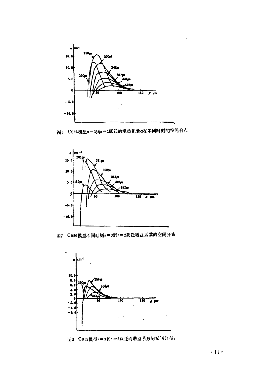

图8 C016模型π=3到π=2跃迁的增益系数α在不同时刻的空间分布



图7 C020模型不同时刻n=3到n=2跃迁增益系数的空间分布



图8 C019模型==3到n=2跃迁的增益系数的望间分布。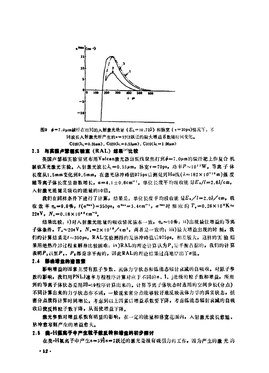

#### 2.3 与英国卢营福实验室 (RAL) 结果[11]比较

英国卢瑟福实验室宣布用Vulcan激光器密频线聚焦打到Φ=7.0μm的碳纤靶上作复合机 制软X光激光实验。入射激光波长入=0.53μm,脉宽τ=70ps,功率P~1012W。等离子体 长度从1.5mm变化到9.5mm, 在激光脉冲峰值975ps后测量到Ha线(X=182×10-10m)强度 随等离子体长度呈指数增长, α=4.1±0.6cm-1。单位长度平均吸收能量Ex/l=2.6J/cm, 入射激光能量是吸收的能量的10倍。

我们在同样条件下进行了计算,结果是: 单位长度平均吸收能 量EA/l=2.0J/cm, 吸 收效率  $\eta_s = 9.9\%$ ,  $t(\alpha^{max}) = 350 \text{ps}$ ,  $\alpha^{max} = 3.4 \text{cm}^{-1}$ ,  $\alpha^{max}$ 时相应的  $T_s = 0.26 \times 10^6 \text{K} \approx$ 22eV.  $N_e = 0.18 \times 10^{20}$  cm<sup>-3</sup>.

结果比较: i)对入射激光能量的吸收情况基本一致, n.~10%; ii)出现最佳增益的等离 子体条件, T, ~ 20eV, N, = 2×101°/cm2, 两者是一致的; iii)最大增益出现的时 刻, 我 们的计算结果是t~350ps, RAL实验测得的是脉冲峰值后975ps, 相差较大, 这样的实验 结 果用绝热冷却过程来解释比较困难: iv)RAL的理论计算认为P,是平衡占据的,我们的计算 表明P,以至P,、P:都是非平衡的,因此RAL的理论结果过高地给出了a值。

#### 2.4 影响增益的资因素

影响增益的因素主要有原子参数、流体力学状态和低能态辐射衰减的自吸收。对原子参 数的影响,我们用PNLJ速率方程程序计算对应于不同的n、1、能级的粒子数和增益,所用 到的等离子体状态是用JB-19程序计算出来的。计算等离子体状态时选用的空间步长(分点) 不同计算出来的力学状态亦不同。一般说来密分点能够较好地反映流体力学的真实状态。但 密分点便得计算时间增长。考虑到以上因素后增益系数要下降,考虑低能态辐射衰减的自吸 收后使反转粒子数下降,从而使增益下降。

激光参数对增益系数有明显的影响,在一定的能量和脉宽范围内,入射激光波长愈短、 脉冲愈窄则产生的增益愈大。

#### 2.5 盘-H氩离子中产生粒子数反转和增益的初步摆讨

在类-H氟离子中产生n=3到n=2跃迁的激光是很有吸引力的工作。因为产生的激光、的

 $.12.$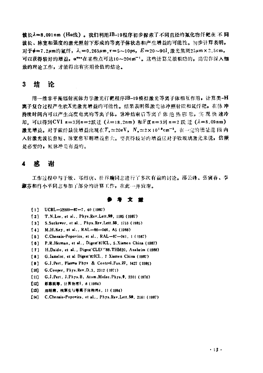波长入=8.091nm (Ha线)。我们利用JB-19程序初步探索了不同直径的氟化物纤靶在 不同 波长、脉窦和强度的激光照射下形成的等离子体状态和产生增益的可能性。初步计算表明, 对于Φ=7.2μm的氟纤, λ<sub>ι</sub>=0.265μm.r=5~10ps, E=20~90I.激光焦斑25μm×2.5cm, 可以获得较好的增益, a mx在某些点可达10~20cm ='。这些计算是很粗略的, 尚需作深入细 致的理论工作,才能得出有实用价值的结论。

#### 3 结 论

用一维非平衡辐射流体力学激光打靶程序JB-19模拟激光等离子体相互作用, 计算类-H 离子复合过程产生软X光激光增益的可能性。结果表明强激光脉冲照射碳和氧纤靶,在脉冲 持续时间内可以产生高度电离的等离子体。脉冲结束后等离子 体 绝 热 膨 胀。实 现 快 速冷 却. 可以得到CVI n=3到n=2跃迁 ( $\lambda$ =18.2nm) 和F区n=3到n=2 跃 迁 ( $\lambda$ =8.09nm) 激光增益。对于碳纤最佳增益出现在T。~20eV, N。~2×101°cm-°。在一定的能量范 围 内 入射激光波长愈短、脉宽愈窄则增益愈大。要获得较好的增益区对于钦玻璃激光来说, 倍频 是必要的,短脉冲是有益的。

#### $\overline{\mathbf{4}}$ 咸 谢

工作过程中与于敏、郑绍唐、杜祥琬同志进行了多次有益的讨论。邵云峰、张寅春、李 淑芬和肖小平同志参加了部分的计算工作,在此一并致谢。

#### 参考文堂

- $[1]$  UCRL-52000-87-7, 40 (1987)
- T.N.Lee. et al., Phys.Rev.Lett.59, 1185 (1987)  $[2]$
- [3] S.Suckewer, et al., Phys. Rev. Lett. 55, 1753 (1985)
- [4] M.H.Key. et al., RAL-86-046, A5 (1986)
- C.Chenais-Popovics, et al., RAL-87-041, 1 (1987)  $[5]$
- [6] P.R.Herman, et al., Digest'87ICL, 5.Xiamen China (1987)
- [7] H.Daido, et al., Digest'CLE('88.THM20, Anaheim (1988)
- $[8]$ G.Jamelot, et al Digest'87ICL, 7 Xiamen China (1987)
- G.J.Pert, Plasma Phys & Control.Fus.27, 1427 (1985)  $[9]$
- G.Cooper, Phys.Rev.D.3. 2312 (1971)  $101$
- [11] G.J.Pert, J.Phys.B. Atom.Molec.Phys.9, 3301 (1976)
- $[12]$ 彭惠民等, 计算物理1, 8 (1984)
- [13] 郑绍唐, 核聚变与等离子体物理4, 11 (1984)
- [14] C.Chenais-Popovics, et al., Phys.Rev.Lett.59, 2161 (1987)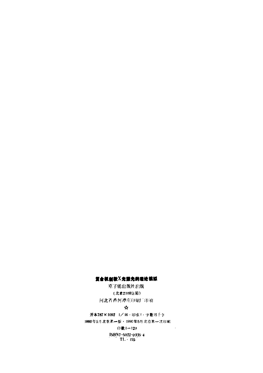#### 复合机制软X光激光的理论模拟

原子能出版社出版 (北京2108信箱) 河北省香河谭庄印刷厂印刷。

#### ☆

开本787×1092 1/16·印张1·字数15千字 1990年5月北京第一版・1990年5月北京第一次印刷 印数1-120  $\frac{\text{ISBN7--5022--0335--4}}{\text{TL}+155}$ 

÷,